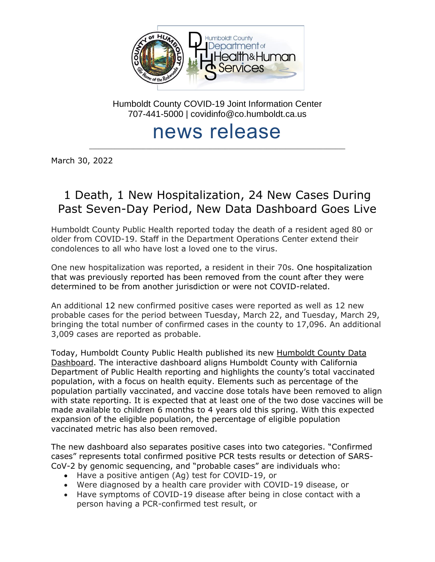

Humboldt County COVID-19 Joint Information Center 707-441-5000 | covidinfo@co.humboldt.ca.us

# news release

\_\_\_\_\_\_\_\_\_\_\_\_\_\_\_\_\_\_\_\_\_\_\_\_\_\_\_\_\_\_\_\_\_\_\_\_\_\_\_\_\_\_\_\_\_\_\_\_\_\_\_\_\_\_\_\_\_\_\_\_\_\_\_\_\_\_\_\_\_\_\_\_\_\_\_\_\_\_\_\_\_

March 30, 2022

# 1 Death, 1 New Hospitalization, 24 New Cases During Past Seven-Day Period, New Data Dashboard Goes Live

Humboldt County Public Health reported today the death of a resident aged 80 or older from COVID-19. Staff in the Department Operations Center extend their condolences to all who have lost a loved one to the virus.

One new hospitalization was reported, a resident in their 70s. One hospitalization that was previously reported has been removed from the count after they were determined to be from another jurisdiction or were not COVID-related.

An additional 12 new confirmed positive cases were reported as well as 12 new probable cases for the period between Tuesday, March 22, and Tuesday, March 29, bringing the total number of confirmed cases in the county to 17,096. An additional 3,009 cases are reported as probable.

Today, Humboldt County Public Health published its new [Humboldt County Data](https://humboldtgov.org/3246/COVID-19-Data-Dashboard)  [Dashboard.](https://humboldtgov.org/3246/COVID-19-Data-Dashboard) The interactive dashboard aligns Humboldt County with California Department of Public Health reporting and highlights the county's total vaccinated population, with a focus on health equity. Elements such as percentage of the population partially vaccinated, and vaccine dose totals have been removed to align with state reporting. It is expected that at least one of the two dose vaccines will be made available to children 6 months to 4 years old this spring. With this expected expansion of the eligible population, the percentage of eligible population vaccinated metric has also been removed.

The new dashboard also separates positive cases into two categories. "Confirmed cases" represents total confirmed positive PCR tests results or detection of SARS-CoV-2 by genomic sequencing, and "probable cases" are individuals who:

- Have a positive antigen (Ag) test for COVID-19, or
- Were diagnosed by a health care provider with COVID-19 disease, or
- Have symptoms of COVID-19 disease after being in close contact with a person having a PCR-confirmed test result, or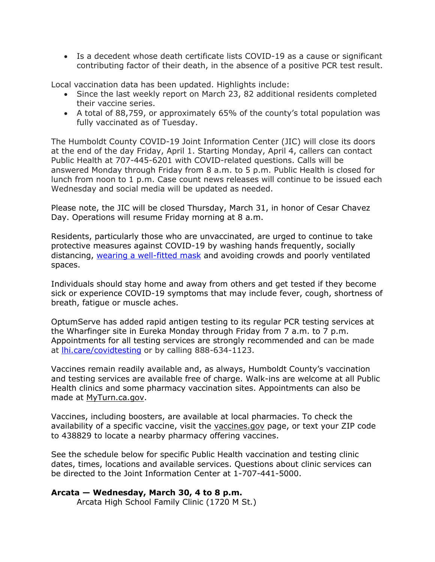• Is a decedent whose death certificate lists COVID-19 as a cause or significant contributing factor of their death, in the absence of a positive PCR test result.

Local vaccination data has been updated. Highlights include:

- Since the last weekly report on March 23, 82 additional residents completed their vaccine series.
- A total of 88,759, or approximately 65% of the county's total population was fully vaccinated as of Tuesday.

The Humboldt County COVID-19 Joint Information Center (JIC) will close its doors at the end of the day Friday, April 1. Starting Monday, April 4, callers can contact Public Health at 707-445-6201 with COVID-related questions. Calls will be answered Monday through Friday from 8 a.m. to 5 p.m. Public Health is closed for lunch from noon to 1 p.m. Case count news releases will continue to be issued each Wednesday and social media will be updated as needed.

Please note, the JIC will be closed Thursday, March 31, in honor of Cesar Chavez Day. Operations will resume Friday morning at 8 a.m.

Residents, particularly those who are unvaccinated, are urged to continue to take protective measures against COVID-19 by washing hands frequently, socially distancing, [wearing a well-fitted mask](https://www.cdc.gov/coronavirus/2019-ncov/prevent-getting-sick/types-of-masks.html) and avoiding crowds and poorly ventilated spaces.

Individuals should stay home and away from others and get tested if they become sick or experience COVID-19 symptoms that may include fever, cough, shortness of breath, fatigue or muscle aches.

OptumServe has added rapid antigen testing to its regular PCR testing services at the Wharfinger site in Eureka Monday through Friday from 7 a.m. to 7 p.m. Appointments for all testing services are strongly recommended and can be made at **lhi.care/covidtesting** or by calling 888-634-1123.

Vaccines remain readily available and, as always, Humboldt County's vaccination and testing services are available free of charge. Walk-ins are welcome at all Public Health clinics and some pharmacy vaccination sites. Appointments can also be made at [MyTurn.ca.gov.](https://myturn.ca.gov/)

Vaccines, including boosters, are available at local pharmacies. To check the availability of a specific vaccine, visit the [vaccines.gov](https://www.vaccines.gov/search/) page, or text your ZIP code to 438829 to locate a nearby pharmacy offering vaccines.

See the schedule below for specific Public Health vaccination and testing clinic dates, times, locations and available services. Questions about clinic services can be directed to the Joint Information Center at 1-707-441-5000.

# **Arcata — Wednesday, March 30, 4 to 8 p.m.**

Arcata High School Family Clinic (1720 M St.)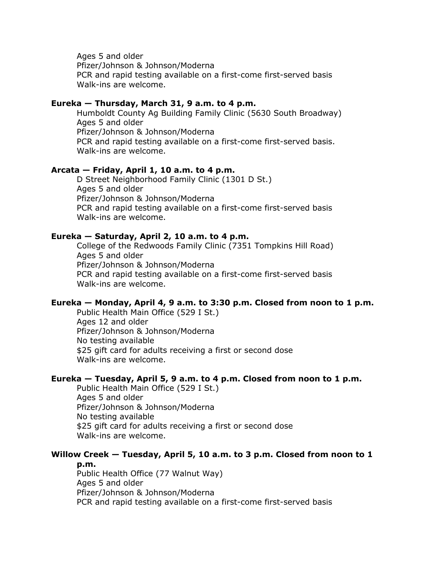Ages 5 and older Pfizer/Johnson & Johnson/Moderna PCR and rapid testing available on a first-come first-served basis Walk-ins are welcome.

#### **Eureka — Thursday, March 31, 9 a.m. to 4 p.m.**

Humboldt County Ag Building Family Clinic (5630 South Broadway) Ages 5 and older Pfizer/Johnson & Johnson/Moderna PCR and rapid testing available on a first-come first-served basis. Walk-ins are welcome.

#### **Arcata — Friday, April 1, 10 a.m. to 4 p.m.**

D Street Neighborhood Family Clinic (1301 D St.) Ages 5 and older Pfizer/Johnson & Johnson/Moderna PCR and rapid testing available on a first-come first-served basis Walk-ins are welcome.

#### **Eureka — Saturday, April 2, 10 a.m. to 4 p.m.**

College of the Redwoods Family Clinic (7351 Tompkins Hill Road) Ages 5 and older Pfizer/Johnson & Johnson/Moderna PCR and rapid testing available on a first-come first-served basis Walk-ins are welcome.

#### **Eureka — Monday, April 4, 9 a.m. to 3:30 p.m. Closed from noon to 1 p.m.**

Public Health Main Office (529 I St.) Ages 12 and older Pfizer/Johnson & Johnson/Moderna No testing available \$25 gift card for adults receiving a first or second dose Walk-ins are welcome.

#### **Eureka — Tuesday, April 5, 9 a.m. to 4 p.m. Closed from noon to 1 p.m.**

Public Health Main Office (529 I St.) Ages 5 and older Pfizer/Johnson & Johnson/Moderna No testing available \$25 gift card for adults receiving a first or second dose Walk-ins are welcome.

### **Willow Creek — Tuesday, April 5, 10 a.m. to 3 p.m. Closed from noon to 1**

**p.m.** Public Health Office (77 Walnut Way) Ages 5 and older Pfizer/Johnson & Johnson/Moderna PCR and rapid testing available on a first-come first-served basis